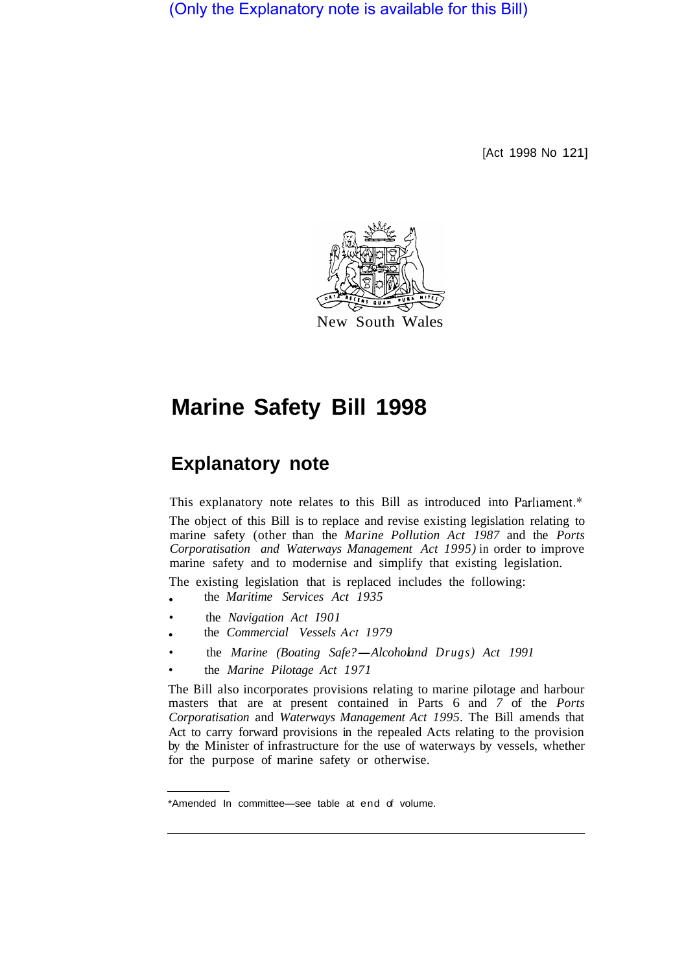(Only the Explanatory note is available for this Bill)

[Act 1998 No 121]



# **Marine Safety Bill 1998**

## **Explanatory note**

This explanatory note relates to this Bill as introduced into Parliament.\*

The object of this Bill is to replace and revise existing legislation relating to marine safety (other than the *Marine Pollution Act 1987* and the *Ports Corporatisation and Waterways Management Act 1995)* in order to improve marine safety and to modernise and simplify that existing legislation.

The existing legislation that is replaced includes the following:

- the *Maritime Services Act 1935*
- the *Navigation Act I901*
- the *Commercial Vessels Act 1979*
- the *Marine (Boating Safe?-Alcoholand Drugs) Act 1991*
- the *Marine Pilotage Act 1971*

The Bill also incorporates provisions relating to marine pilotage and harbour masters that are at present contained in Parts 6 and *7* of the *Ports Corporatisation* and *Waterways Management Act 1995.* The Bill amends that Act to carry forward provisions in the repealed Acts relating to the provision by the Minister of infrastructure for the use of waterways by vessels, whether for the purpose of marine safety or otherwise.

<sup>\*</sup>Amended In committee—see table at end of volume.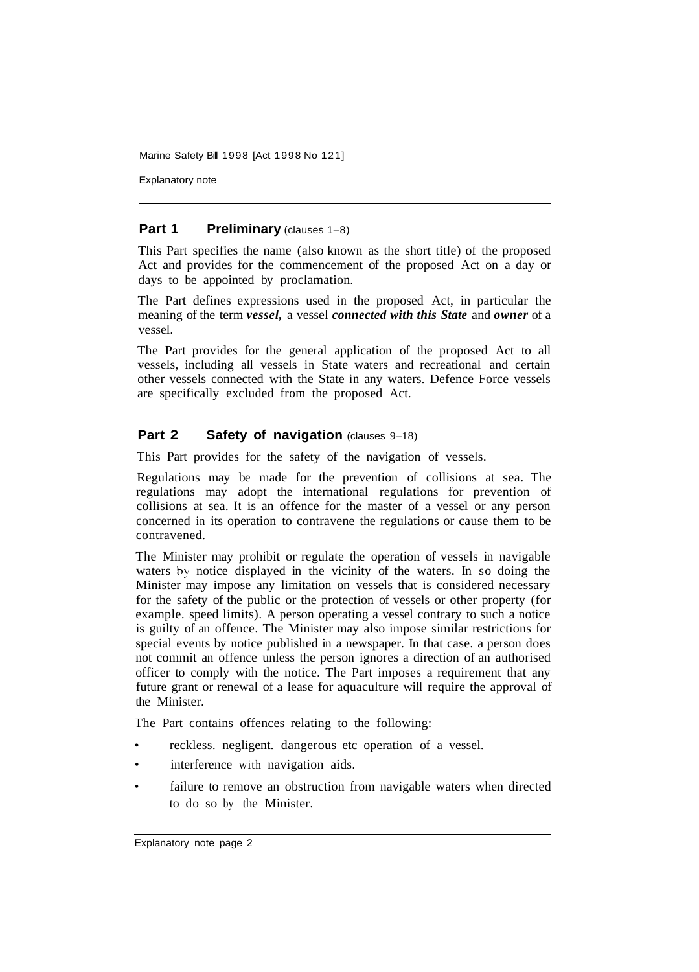Explanatory note

#### **Part 1 Preliminary** (clauses 1–8)

This Part specifies the name (also known as the short title) of the proposed Act and provides for the commencement of the proposed Act on a day or days to be appointed by proclamation.

The Part defines expressions used in the proposed Act, in particular the meaning of the term *vessel,* a vessel *connected with this State* and *owner* of a vessel.

The Part provides for the general application of the proposed Act to all vessels, including all vessels in State waters and recreational and certain other vessels connected with the State in any waters. Defence Force vessels are specifically excluded from the proposed Act.

## **Part 2 Safety of navigation** (clauses 9-18)

This Part provides for the safety of the navigation of vessels.

Regulations may be made for the prevention of collisions at sea. The regulations may adopt the international regulations for prevention of collisions at sea. It is an offence for the master of a vessel or any person concerned in its operation to contravene the regulations or cause them to be contravened.

The Minister may prohibit or regulate the operation of vessels in navigable waters by notice displayed in the vicinity of the waters. In so doing the Minister may impose any limitation on vessels that is considered necessary for the safety of the public or the protection of vessels or other property (for example. speed limits). A person operating a vessel contrary to such a notice is guilty of an offence. The Minister may also impose similar restrictions for special events by notice published in a newspaper. In that case. a person does not commit an offence unless the person ignores a direction of an authorised officer to comply with the notice. The Part imposes a requirement that any future grant or renewal of a lease for aquaculture will require the approval of the Minister.

The Part contains offences relating to the following:

- reckless. negligent. dangerous etc operation of a vessel.
- interference with navigation aids.
- failure to remove an obstruction from navigable waters when directed to do so by the Minister.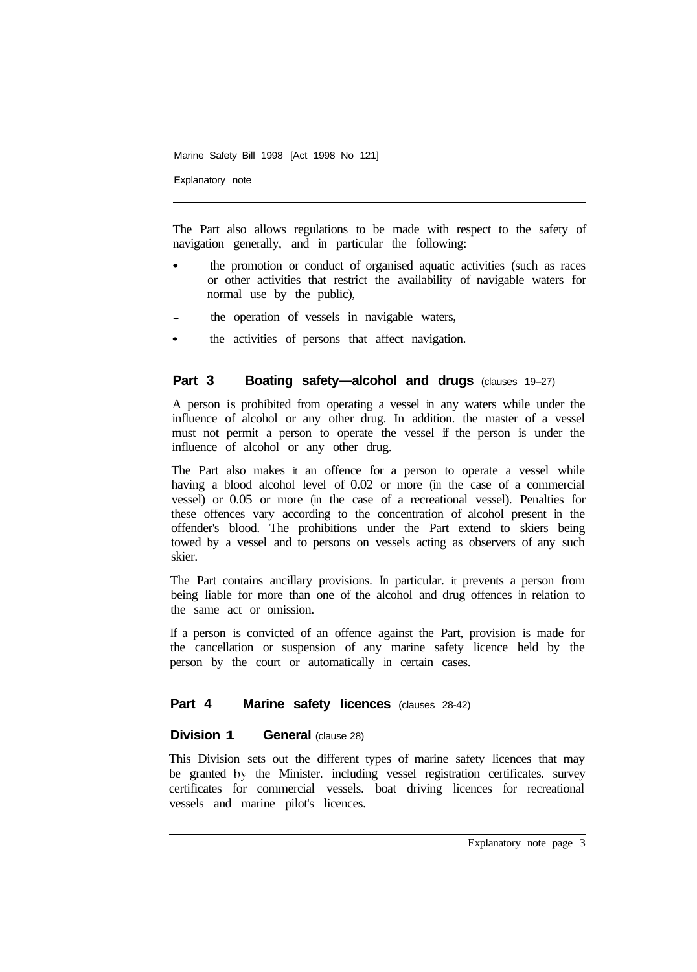Explanatory note

The Part also allows regulations to be made with respect to the safety of navigation generally, and in particular the following:

- the promotion or conduct of organised aquatic activities (such as races or other activities that restrict the availability of navigable waters for normal use by the public),
- the operation of vessels in navigable waters,
- the activities of persons that affect navigation.

## **Part 3 Boating safety—alcohol and drugs** (clauses 19-27)

A person is prohibited from operating a vessel in any waters while under the influence of alcohol or any other drug. In addition. the master of a vessel must not permit a person to operate the vessel if the person is under the influence of alcohol or any other drug.

The Part also makes it an offence for a person to operate a vessel while having a blood alcohol level of 0.02 or more (in the case of a commercial vessel) or 0.05 or more (in the case of a recreational vessel). Penalties for these offences vary according to the concentration of alcohol present in the offender's blood. The prohibitions under the Part extend to skiers being towed by a vessel and to persons on vessels acting as observers of any such skier.

The Part contains ancillary provisions. In particular. it prevents a person from being liable for more than one of the alcohol and drug offences in relation to the same act or omission.

If a person is convicted of an offence against the Part, provision is made for the cancellation or suspension of any marine safety licence held by the person by the court or automatically in certain cases.

## Part 4 Marine safety licences (clauses 28-42)

#### **Division 1 General (clause 28)**

This Division sets out the different types of marine safety licences that may be granted by the Minister. including vessel registration certificates. survey certificates for commercial vessels. boat driving licences for recreational vessels and marine pilot's licences.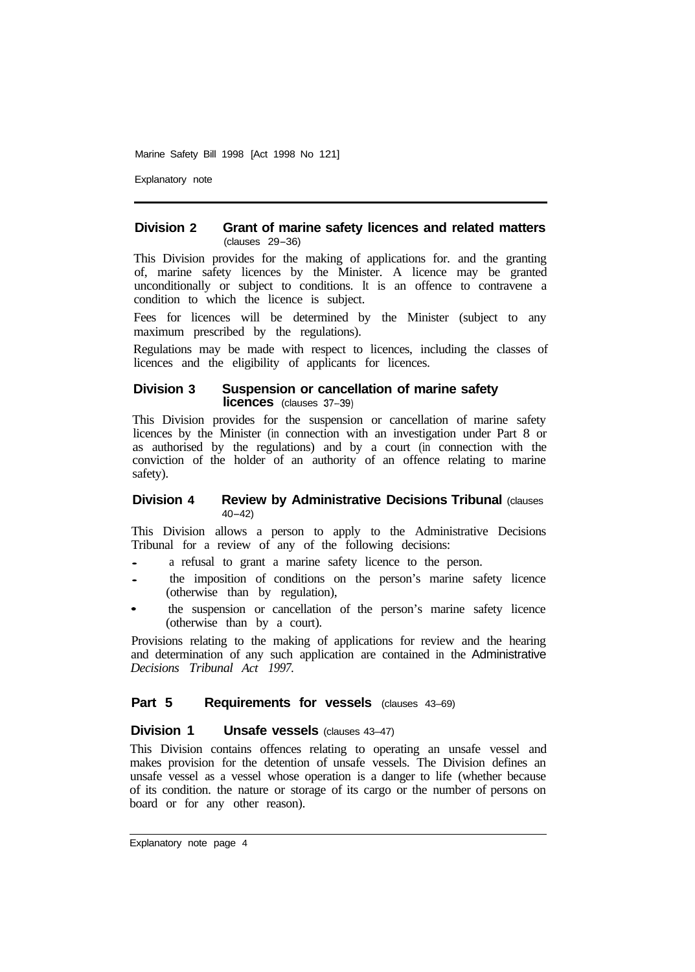Explanatory note

#### **Division 2 Grant of marine safety licences and related matters**  (clauses 29-36)

This Division provides for the making of applications for. and the granting of, marine safety licences by the Minister. A licence may be granted unconditionally or subject to conditions. It is an offence to contravene a condition to which the licence is subject.

Fees for licences will be determined by the Minister (subject to any maximum prescribed by the regulations).

Regulations may be made with respect to licences, including the classes of licences and the eligibility of applicants for licences.

#### **Division 3 Suspension or cancellation of marine safety licences** (clauses 37-39)

This Division provides for the suspension or cancellation of marine safety licences by the Minister (in connection with an investigation under Part 8 or as authorised by the regulations) and by a court (in connection with the conviction of the holder of an authority of an offence relating to marine safety).

#### **Division 4 Review by Administrative Decisions Tribunal (clauses)** 40-42)

This Division allows a person to apply to the Administrative Decisions Tribunal for a review of any of the following decisions:

- a refusal to grant a marine safety licence to the person.
- the imposition of conditions on the person's marine safety licence (otherwise than by regulation),
- the suspension or cancellation of the person's marine safety licence (otherwise than by a court).

Provisions relating to the making of applications for review and the hearing and determination of any such application are contained in the Administrative *Decisions Tribunal Act 1997.* 

#### **Part 5 Requirements for vessels** (clauses 43–69)

#### **Division 1 Unsafe vessels (clauses 43-47)**

This Division contains offences relating to operating an unsafe vessel and makes provision for the detention of unsafe vessels. The Division defines an unsafe vessel as a vessel whose operation is a danger to life (whether because of its condition. the nature or storage of its cargo or the number of persons on board or for any other reason).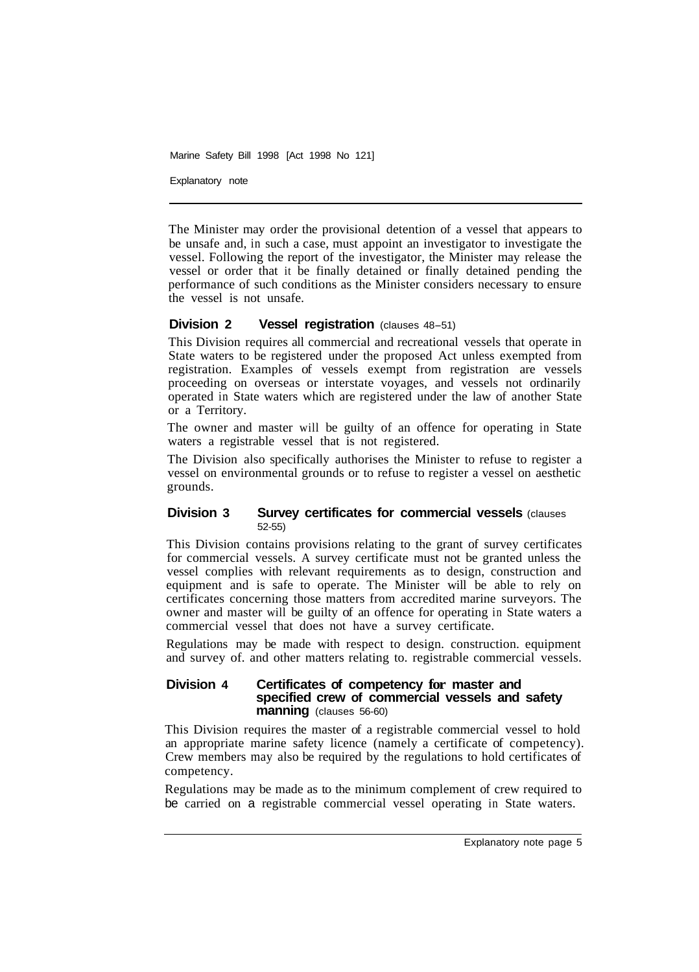Explanatory note

The Minister may order the provisional detention of a vessel that appears to be unsafe and, in such a case, must appoint an investigator to investigate the vessel. Following the report of the investigator, the Minister may release the vessel or order that it be finally detained or finally detained pending the performance of such conditions as the Minister considers necessary to ensure the vessel is not unsafe.

## **Division 2 Vessel registration** (clauses 48-51)

This Division requires all commercial and recreational vessels that operate in State waters to be registered under the proposed Act unless exempted from registration. Examples of vessels exempt from registration are vessels proceeding on overseas or interstate voyages, and vessels not ordinarily operated in State waters which are registered under the law of another State or a Territory.

The owner and master will be guilty of an offence for operating in State waters a registrable vessel that is not registered.

The Division also specifically authorises the Minister to refuse to register a vessel on environmental grounds or to refuse to register a vessel on aesthetic grounds.

#### **Division 3 Survey certificates for commercial vessels (clauses)** 52-55)

This Division contains provisions relating to the grant of survey certificates for commercial vessels. A survey certificate must not be granted unless the vessel complies with relevant requirements as to design, construction and equipment and is safe to operate. The Minister will be able to rely on certificates concerning those matters from accredited marine surveyors. The owner and master will be guilty of an offence for operating in State waters a commercial vessel that does not have a survey certificate.

Regulations may be made with respect to design. construction. equipment and survey of. and other matters relating to. registrable commercial vessels.

#### **Division 4 Certificates of competency for master and specified crew of commercial vessels and safety manning** (clauses 56-60)

This Division requires the master of a registrable commercial vessel to hold an appropriate marine safety licence (namely a certificate of competency). Crew members may also be required by the regulations to hold certificates of competency.

Regulations may be made as to the minimum complement of crew required to be carried on a registrable commercial vessel operating in State waters.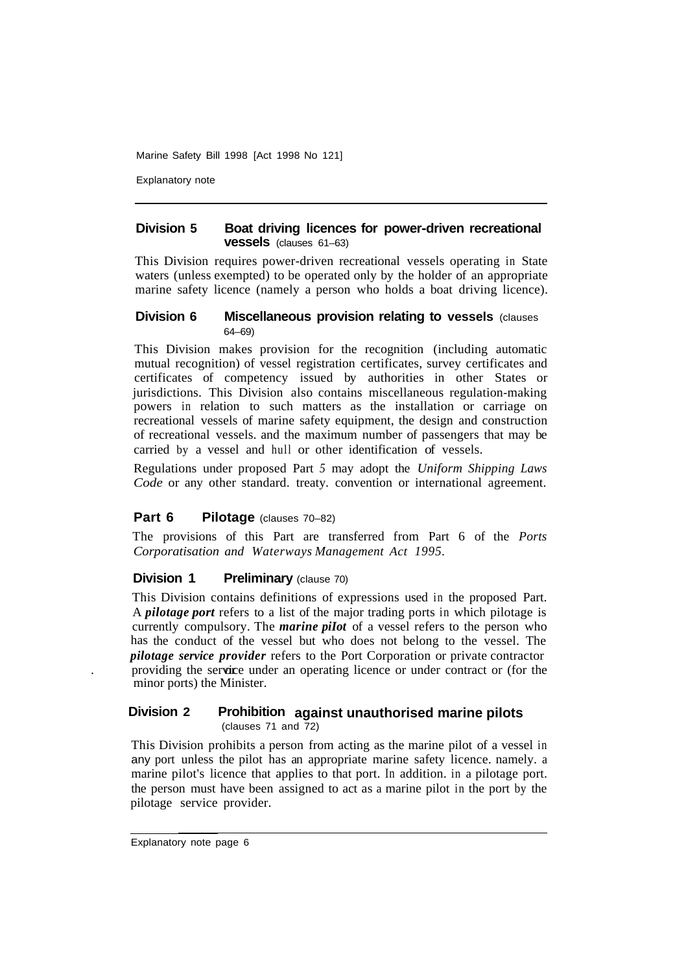Explanatory note

#### **Division 5 Boat driving licences for power-driven recreational vessels** (clauses 61–63)

This Division requires power-driven recreational vessels operating in State waters (unless exempted) to be operated only by the holder of an appropriate marine safety licence (namely a person who holds a boat driving licence).

#### **Division 6** Miscellaneous provision relating to vessels (clauses) 64–69)

This Division makes provision for the recognition (including automatic mutual recognition) of vessel registration certificates, survey certificates and certificates of competency issued by authorities in other States or jurisdictions. This Division also contains miscellaneous regulation-making powers in relation to such matters as the installation or carriage on recreational vessels of marine safety equipment, the design and construction of recreational vessels. and the maximum number of passengers that may be carried by a vessel and hull or other identification of vessels.

Regulations under proposed Part *5* may adopt the *Uniform Shipping Laws Code* or any other standard. treaty. convention or international agreement.

## **Part 6** Pilotage (clauses 70–82)

The provisions of this Part are transferred from Part 6 of the *Ports Corporatisation and Waterways Management Act 1995.* 

## **Division 1 Preliminary (clause 70)**

This Division contains definitions of expressions used in the proposed Part. A *pilotage port* refers to a list of the major trading ports in which pilotage is currently compulsory. The *marine piIot* of a vessel refers to the person who has the conduct of the vessel but who does not belong to the vessel. The *pilotage service provider* refers to the Port Corporation or private contractor providing the service under an operating licence or under contract or (for the minor ports) the Minister.

#### **Division 2 Prohibition against unauthorised marine pilots** (clauses 71 and 72)

This Division prohibits a person from acting as the marine pilot of a vessel in any port unless the pilot has an appropriate marine safety licence. namely. a marine pilot's licence that applies to that port. In addition. in a pilotage port. the person must have been assigned to act as a marine pilot in the port by the pilotage service provider.

Explanatory note page 6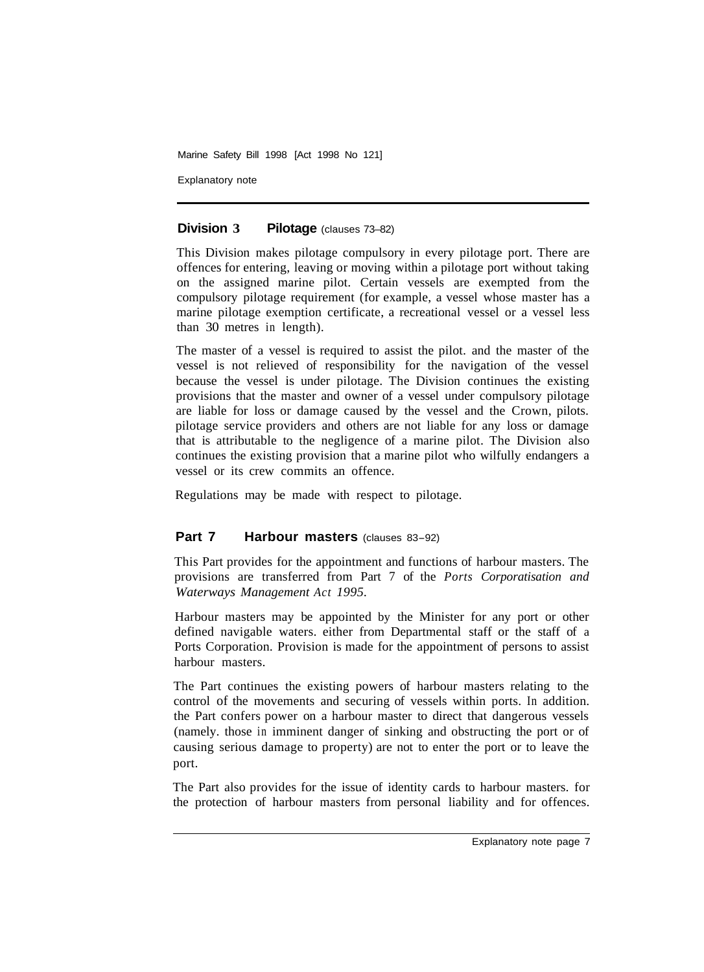Explanatory note

#### **Division 3 Pilotage** (clauses 73–82)

This Division makes pilotage compulsory in every pilotage port. There are offences for entering, leaving or moving within a pilotage port without taking on the assigned marine pilot. Certain vessels are exempted from the compulsory pilotage requirement (for example, a vessel whose master has a marine pilotage exemption certificate, a recreational vessel or a vessel less than 30 metres in length).

The master of a vessel is required to assist the pilot. and the master of the vessel is not relieved of responsibility for the navigation of the vessel because the vessel is under pilotage. The Division continues the existing provisions that the master and owner of a vessel under compulsory pilotage are liable for loss or damage caused by the vessel and the Crown, pilots. pilotage service providers and others are not liable for any loss or damage that is attributable to the negligence of a marine pilot. The Division also continues the existing provision that a marine pilot who wilfully endangers a vessel or its crew commits an offence.

Regulations may be made with respect to pilotage.

## **Part 7 Harbour masters** (clauses 83-92)

This Part provides for the appointment and functions of harbour masters. The provisions are transferred from Part 7 of the *Ports Corporatisation and Waterways Management Act 1995.* 

Harbour masters may be appointed by the Minister for any port or other defined navigable waters. either from Departmental staff or the staff of a Ports Corporation. Provision is made for the appointment of persons to assist harbour masters.

The Part continues the existing powers of harbour masters relating to the control of the movements and securing of vessels within ports. In addition. the Part confers power on a harbour master to direct that dangerous vessels (namely. those in imminent danger of sinking and obstructing the port or of causing serious damage to property) are not to enter the port or to leave the port.

The Part also provides for the issue of identity cards to harbour masters. for the protection of harbour masters from personal liability and for offences.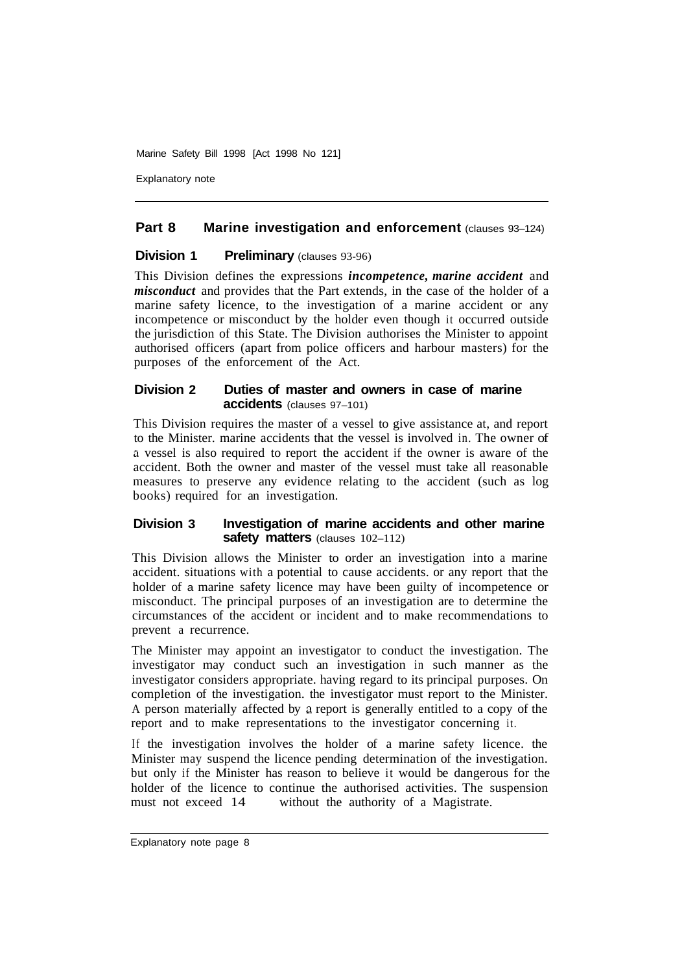Explanatory note

## **Part 8 Marine investigation and enforcement (clauses 93-124)**

#### **Division 1 Preliminary (clauses 93-96)**

This Division defines the expressions *incompetence, marine accident* and *misconduct* and provides that the Part extends, in the case of the holder of a marine safety licence, to the investigation of a marine accident or any incompetence or misconduct by the holder even though it occurred outside the jurisdiction of this State. The Division authorises the Minister to appoint authorised officers (apart from police officers and harbour masters) for the purposes of the enforcement of the Act.

#### **Division 2 Duties of master and owners in case of marine accidents** (clauses 97–101)

This Division requires the master of a vessel to give assistance at, and report to the Minister. marine accidents that the vessel is involved in. The owner of a vessel is also required to report the accident if the owner is aware of the accident. Both the owner and master of the vessel must take all reasonable measures to preserve any evidence relating to the accident (such as log books) required for an investigation.

#### **Division 3 Investigation of marine accidents and other marine safety matters** (clauses 102-112)

This Division allows the Minister to order an investigation into a marine accident. situations with a potential to cause accidents. or any report that the holder of a marine safety licence may have been guilty of incompetence or misconduct. The principal purposes of an investigation are to determine the circumstances of the accident or incident and to make recommendations to prevent a recurrence.

The Minister may appoint an investigator to conduct the investigation. The investigator may conduct such an investigation in such manner as the investigator considers appropriate. having regard to its principal purposes. On completion of the investigation. the investigator must report to the Minister. A person materially affected by a report is generally entitled to a copy of the report and to make representations to the investigator concerning it.

If the investigation involves the holder of a marine safety licence. the Minister may suspend the licence pending determination of the investigation. but only if the Minister has reason to believe it would be dangerous for the holder of the licence to continue the authorised activities. The suspension must not exceed 14 without the authority of a Magistrate.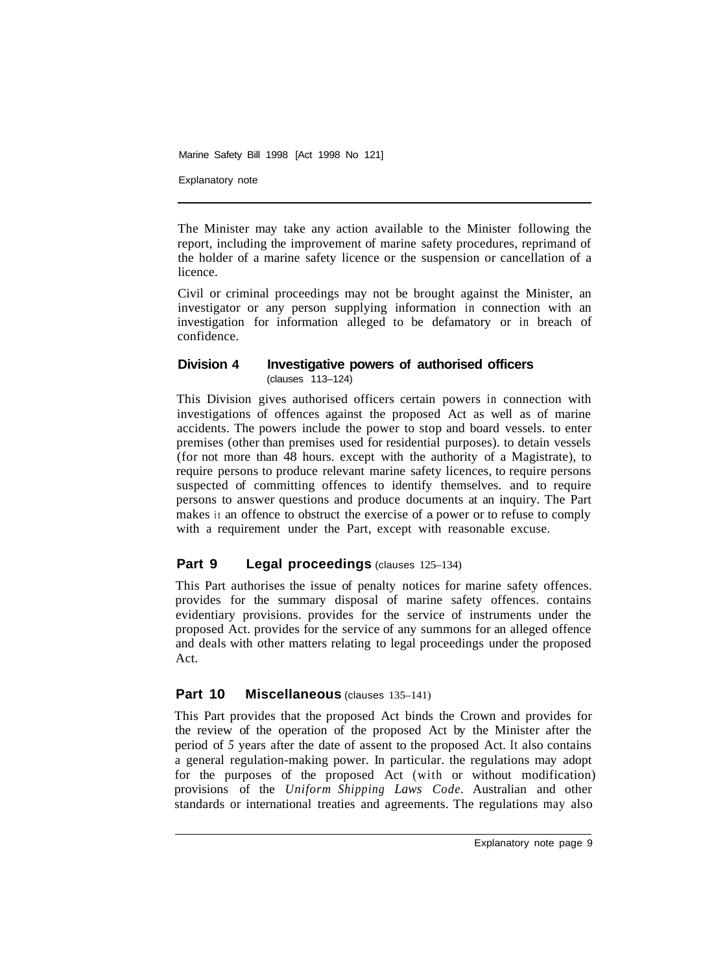Explanatory note

The Minister may take any action available to the Minister following the report, including the improvement of marine safety procedures, reprimand of the holder of a marine safety licence or the suspension or cancellation of a licence.

Civil or criminal proceedings may not be brought against the Minister, an investigator or any person supplying information in connection with an investigation for information alleged to be defamatory or in breach of confidence.

## **Division 4 Investigative powers of authorised officers**  (clauses 113–124)

This Division gives authorised officers certain powers in connection with investigations of offences against the proposed Act as well as of marine accidents. The powers include the power to stop and board vessels. to enter premises (other than premises used for residential purposes). to detain vessels (for not more than 48 hours. except with the authority of a Magistrate), to require persons to produce relevant marine safety licences, to require persons suspected of committing offences to identify themselves. and to require persons to answer questions and produce documents at an inquiry. The Part makes it an offence to obstruct the exercise of a power or to refuse to comply with a requirement under the Part, except with reasonable excuse.

## **Part 9 Legal proceedings (clauses 125–134)**

This Part authorises the issue of penalty notices for marine safety offences. provides for the summary disposal of marine safety offences. contains evidentiary provisions. provides for the service of instruments under the proposed Act. provides for the service of any summons for an alleged offence and deals with other matters relating to legal proceedings under the proposed Act.

## **Part 10 Miscellaneous** (clauses 135-141)

This Part provides that the proposed Act binds the Crown and provides for the review of the operation of the proposed Act by the Minister after the period of *5* years after the date of assent to the proposed Act. It also contains a general regulation-making power. In particular. the regulations may adopt for the purposes of the proposed Act (with or without modification) provisions of the *Uniform Shipping Laws Code.* Australian and other standards or international treaties and agreements. The regulations may also